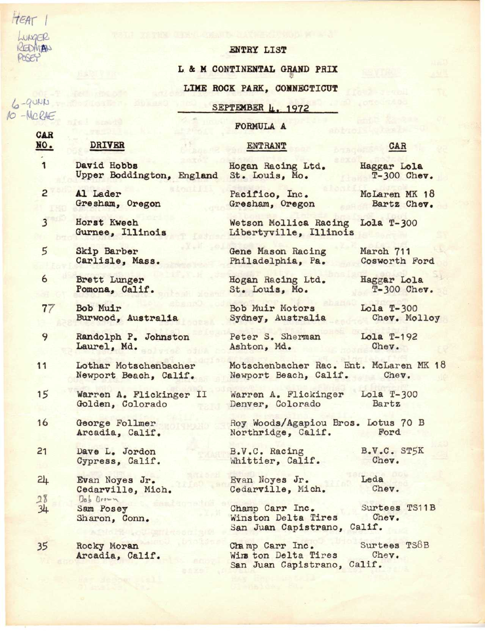HEAT 1 UNGER REDMAN POSEY

 $4400 - 4$  $10 - \text{M}_c$  PAF

> GAR NO.

> > 1

2

## ENTRY LIST

L & M CONTINENTAL GRAND PRIX

## LIME ROCK PARK, CONNECTICUT

SEPTEMBER 4. 1972

## FORMULA A

#### ENTRANT

- David Hobbs Upper Boddington, England
	- Al Lader Gresham, Oregon
- 3 Horst Kwech Gurnee, Illinois

DRIVER

- 5 Skip Barber Carlisle, Mass.
- 6 Brett Lunger Pomona, Calif.
- 77 Bob Muir Burwood, Australia
- 9 Randolph P. Johnston Laurel, Md.
- 11 Lothar Motschenbacher Newport Beach, Calif.
- 15 Warren A. Plickinger II Golden, Colorado
- 16 George Follmer Arcadia, Calif.
- 21 Dave L, Jordon Cypress, Calif.
- 24 Evan Noyes Jr. Cedarville, Mich. 28 Bob Brown  $34$ Sam Posey Sharon, Conn,
- 35 Rocky Moran Arcadia, Calif.

Hogan Racing Ltd.<br>St. Louis, Mo.

Pacifico, Inc. Gresham, Oregon

Wetson Mollica Racing Lola T-300 Libertyville, Illinois

Gene Mason Racing Philadelphia, Pa.

Hogan Racing Ltd. St. Louis, Mo.

Bob Muir Motors Sydney, Australia

Peter S. Sherman Ashton, Md.

Motschenbacher Rac. Ent. McLaren MK 18 Newport Beach, Calif. Chev.

Warren A. Plickinger Denver, Colorado

Roy Woods/Agapiou Bros. Lotus 70 B Northridge, Calif. Ford

B.V.C. Racing Whittier, Calif.

Evan Noyes Jr. Cedarville, Mich.

Champ Carr Inc. Winston Delta Tires Surtees TS11B Chev. San Juan Capistrano, Calif.

Champ Carr Inc. Surtees TS8B<br>Wins ton Delta Tires Chev. Wirs ton Delta Tires San Juan Capistrano, Calif.

CAR

Haggar Lola T-300 Chev.

McLaren MK 18 Bart2 Chev.

March 711 Cosworth Ford

Haggar Lola T-300 Chev.

Lola T-300 Chev. Molloy

Lola T-192 Chev.

Lola T-300 Bartz

B.V.C. ST5K Chev.

Chev.

Leda